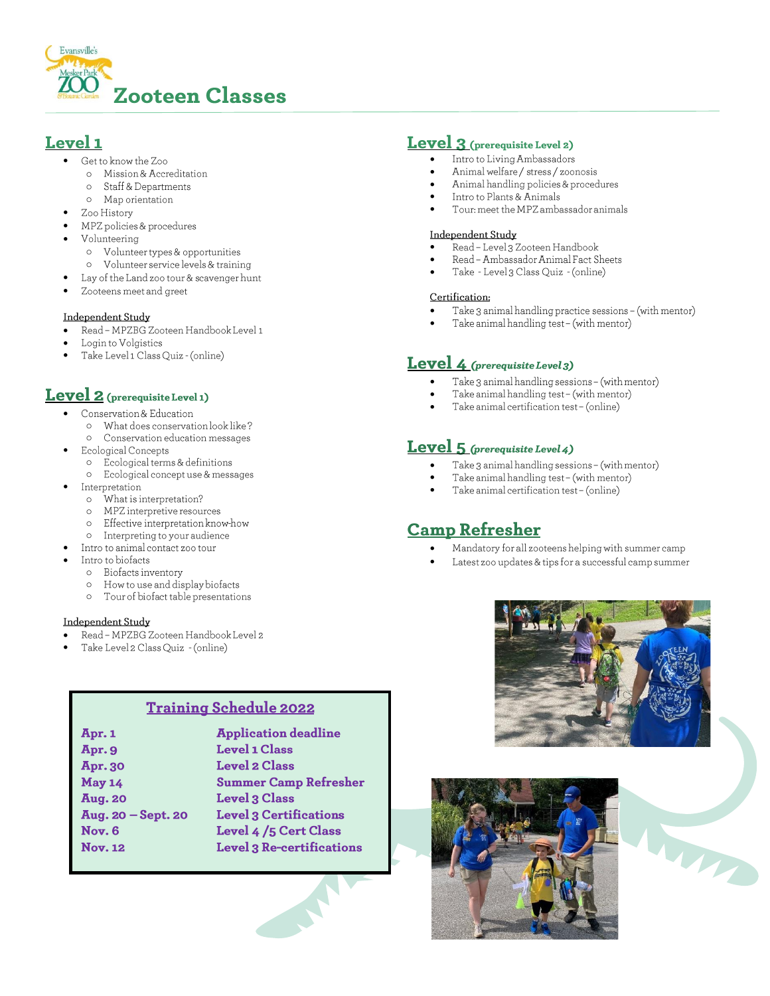

# Level 1

- Get to know the Zoo
	- o Mission & Accreditation
	- Staff & Departments  $\circ$
	- o Map orientation
- Zoo History
- MPZ policies & procedures
- Volunteering
	- o Volunteer types & opportunities
- o Volunteer service levels & training
- Lay of the Land zoo tour & scavenger hunt
- Zooteens meet and greet

### Independent Study

- Read MPZBG Zooteen Handbook Level 1
- Login to Volgistics
- Take Level 1 Class Quiz (online)

# Level 2 (prerequisite Level 1)

- Conservation & Education
	- o What does conservation look like? o Conservation education messages
- Ecological Concepts
- o Ecological terms & definitions
- o Ecological concept use & messages
- Interpretation
	- What is interpretation?  $\circ$
	- MPZ interpretive resources  $\circ$
	- Effective interpretation know-how  $\circ$
	- Interpreting to your audience  $\circ$
- Intro to animal contact zoo tour
- Intro to biofacts
	- o Biofacts inventory
		- How to use and display biofacts  $\circ$
		- Tour of biofact table presentations  $\circ$

### Independent Study

- Read MPZBG Zooteen Handbook Level 2
- Take Level 2 Class Quiz (online)

# **Training Schedule 2022**

| Apr. 1               | <b>Application deadline</b>      |
|----------------------|----------------------------------|
| Apr. 9               | <b>Level 1 Class</b>             |
| Apr. 30              | <b>Level 2 Class</b>             |
| May 14               | <b>Summer Camp Refresher</b>     |
| <b>Aug. 20</b>       | <b>Level 3 Class</b>             |
| Aug. $20 - Sept. 20$ | <b>Level 3 Certifications</b>    |
| Nov. 6               | Level 4/5 Cert Class             |
| <b>Nov. 12</b>       | <b>Level 3 Re-certifications</b> |

# Level 3 (prerequisite Level 2)

- Intro to Living Ambassadors
- Animal welfare / stress / zoonosis  $\bullet$
- Animal handling policies & procedures
- Intro to Plants & Animals
- Tour: meet the MPZ ambassador animals

## **Independent Study**

- Read Level 3 Zooteen Handbook
- Read Ambassador Animal Fact Sheets
- Take Level 3 Class Quiz (online)

### Certification:

- Take 3 animal handling practice sessions (with mentor)
- Take animal handling test (with mentor)

# **Level 4** (prerequisite Level 3)

- Take 3 animal handling sessions (with mentor)
- Take animal handling test (with mentor)
- Take animal certification test (online)

# Level 5 (prerequisite Level 4)

- Take 3 animal handling sessions (with mentor)
- Take animal handling test (with mentor)
- Take animal certification test (online)

# **Camp Refresher**

- Mandatory for all zooteens helping with summer camp
- Latest zoo updates & tips for a successful camp summer



MATTER